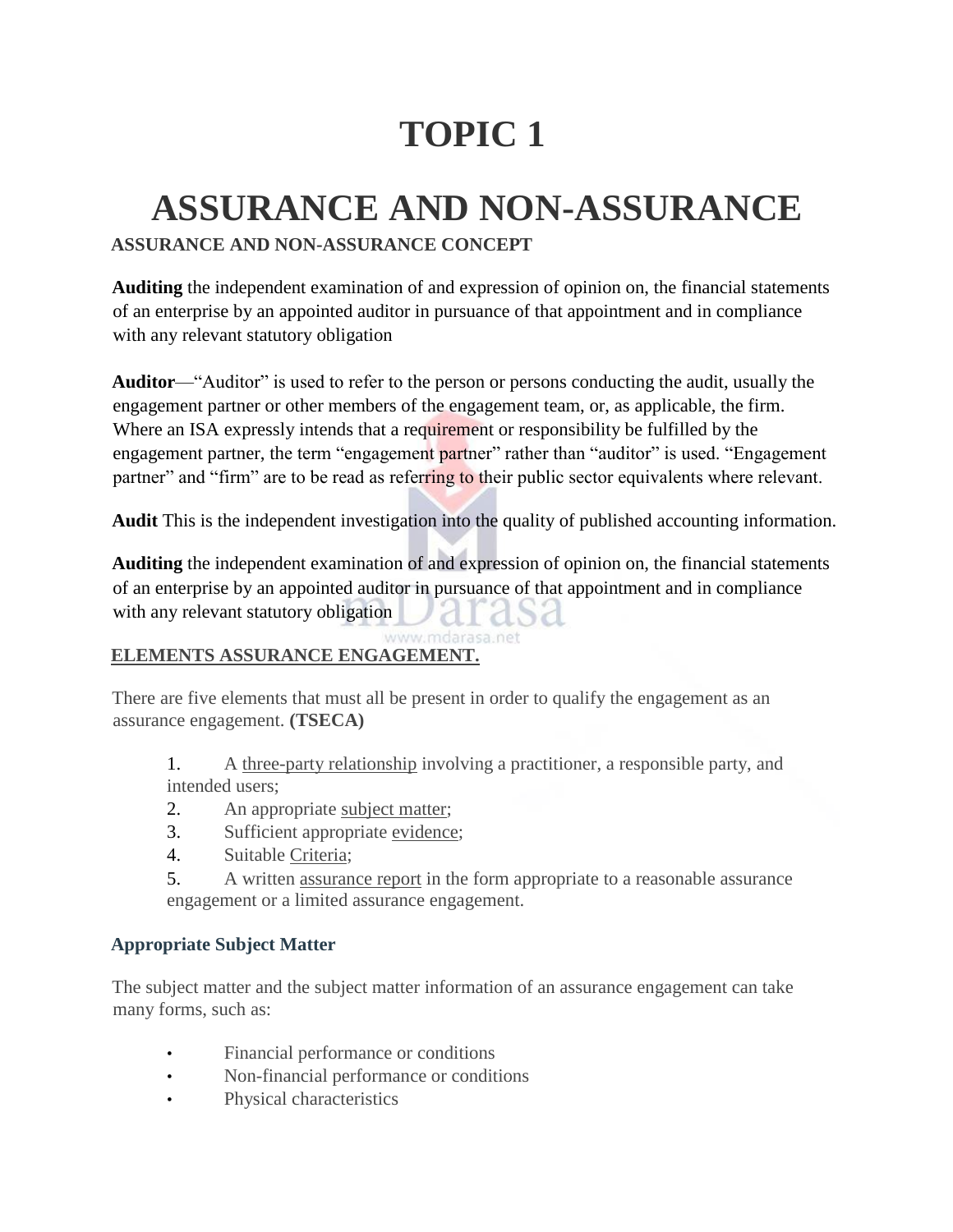# **TOPIC 1**

## **ASSURANCE AND NON-ASSURANCE**

## **ASSURANCE AND NON-ASSURANCE CONCEPT**

**Auditing** the independent examination of and expression of opinion on, the financial statements of an enterprise by an appointed auditor in pursuance of that appointment and in compliance with any relevant statutory obligation

**Auditor**—"Auditor" is used to refer to the person or persons conducting the audit, usually the engagement partner or other members of the engagement team, or, as applicable, the firm. Where an ISA expressly intends that a requirement or responsibility be fulfilled by the engagement partner, the term "engagement partner" rather than "auditor" is used. "Engagement partner" and "firm" are to be read as referring to their public sector equivalents where relevant.

**Audit** This is the independent investigation into the quality of published accounting information.

**Auditing** the independent examination of and expression of opinion on, the financial statements of an enterprise by an appointed auditor in pursuance of that appointment and in compliance with any relevant statutory obligation

#### ww.mdarasa.net **ELEMENTS ASSURANCE ENGAGEMENT.**

There are five elements that must all be present in order to qualify the engagement as an assurance engagement. **(TSECA)**

- 1. A three-party relationship involving a practitioner, a responsible party, and intended users;
- 2. An appropriate subject matter;
- 3. Sufficient appropriate evidence;
- 4. Suitable Criteria;
- 5. A written assurance report in the form appropriate to a reasonable assurance engagement or a limited assurance engagement.

## **Appropriate Subject Matter**

The subject matter and the subject matter information of an assurance engagement can take many forms, such as:

- Financial performance or conditions
- Non-financial performance or conditions
- Physical characteristics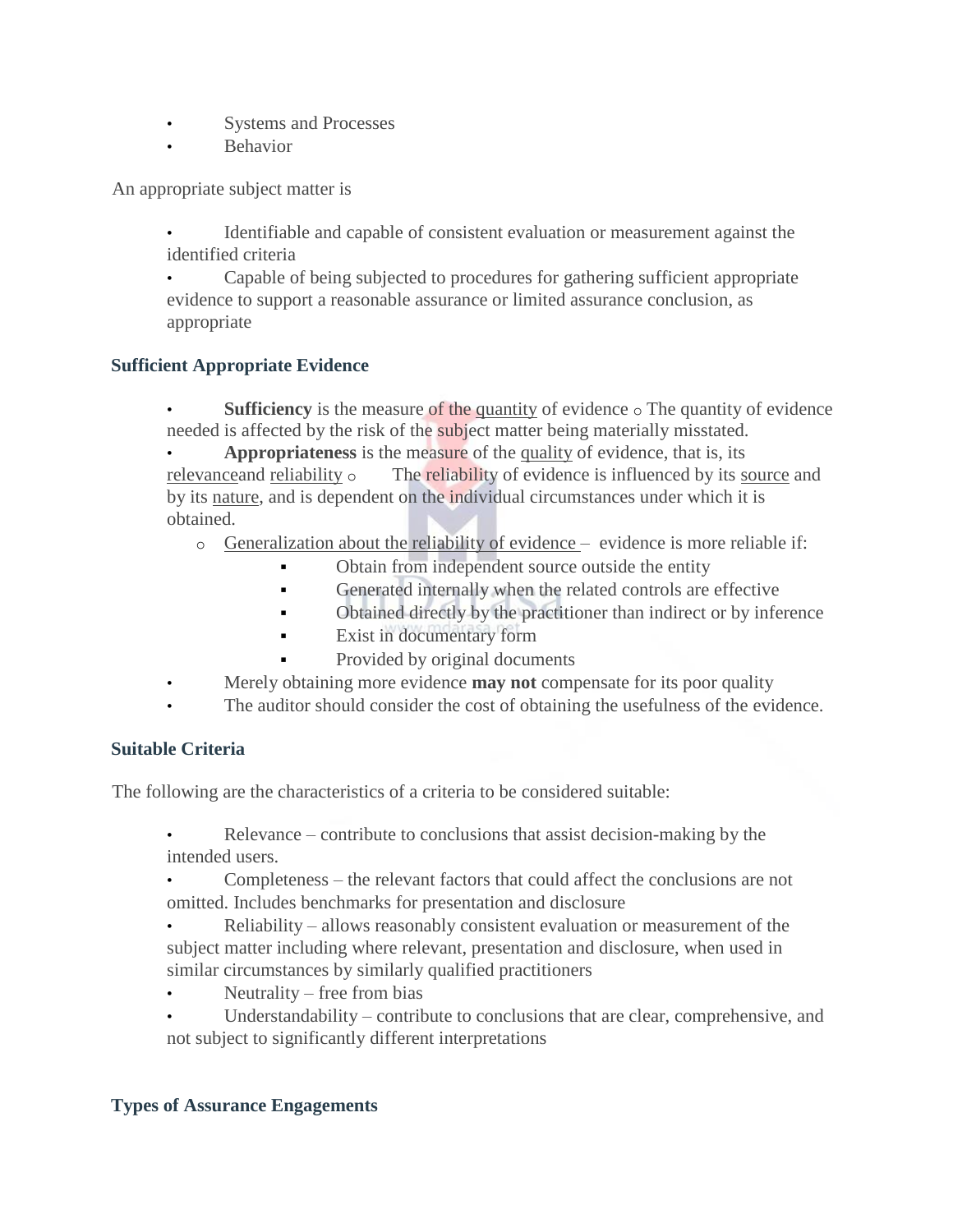- Systems and Processes
- Behavior

An appropriate subject matter is

• Identifiable and capable of consistent evaluation or measurement against the identified criteria

• Capable of being subjected to procedures for gathering sufficient appropriate evidence to support a reasonable assurance or limited assurance conclusion, as appropriate

## **Sufficient Appropriate Evidence**

**Sufficiency** is the measure of the quantity of evidence  $\circ$  The quantity of evidence needed is affected by the risk of the subject matter being materially misstated.

• **Appropriateness** is the measure of the quality of evidence, that is, its relevance and reliability  $\circ$  The reliability of evidence is influenced by its source and by its nature, and is dependent on the individual circumstances under which it is obtained.

- o Generalization about the reliability of evidence evidence is more reliable if:
	- Obtain from independent source outside the entity
	- Generated internally when the related controls are effective
	- Obtained directly by the practitioner than indirect or by inference
	- **Exist in documentary form**
	- Provided by original documents
- Merely obtaining more evidence **may not** compensate for its poor quality
- The auditor should consider the cost of obtaining the usefulness of the evidence.

## **Suitable Criteria**

The following are the characteristics of a criteria to be considered suitable:

- Relevance contribute to conclusions that assist decision-making by the intended users.
- Completeness the relevant factors that could affect the conclusions are not omitted. Includes benchmarks for presentation and disclosure
- Reliability allows reasonably consistent evaluation or measurement of the subject matter including where relevant, presentation and disclosure, when used in similar circumstances by similarly qualified practitioners
- Neutrality free from bias
- Understandability contribute to conclusions that are clear, comprehensive, and not subject to significantly different interpretations

## **Types of Assurance Engagements**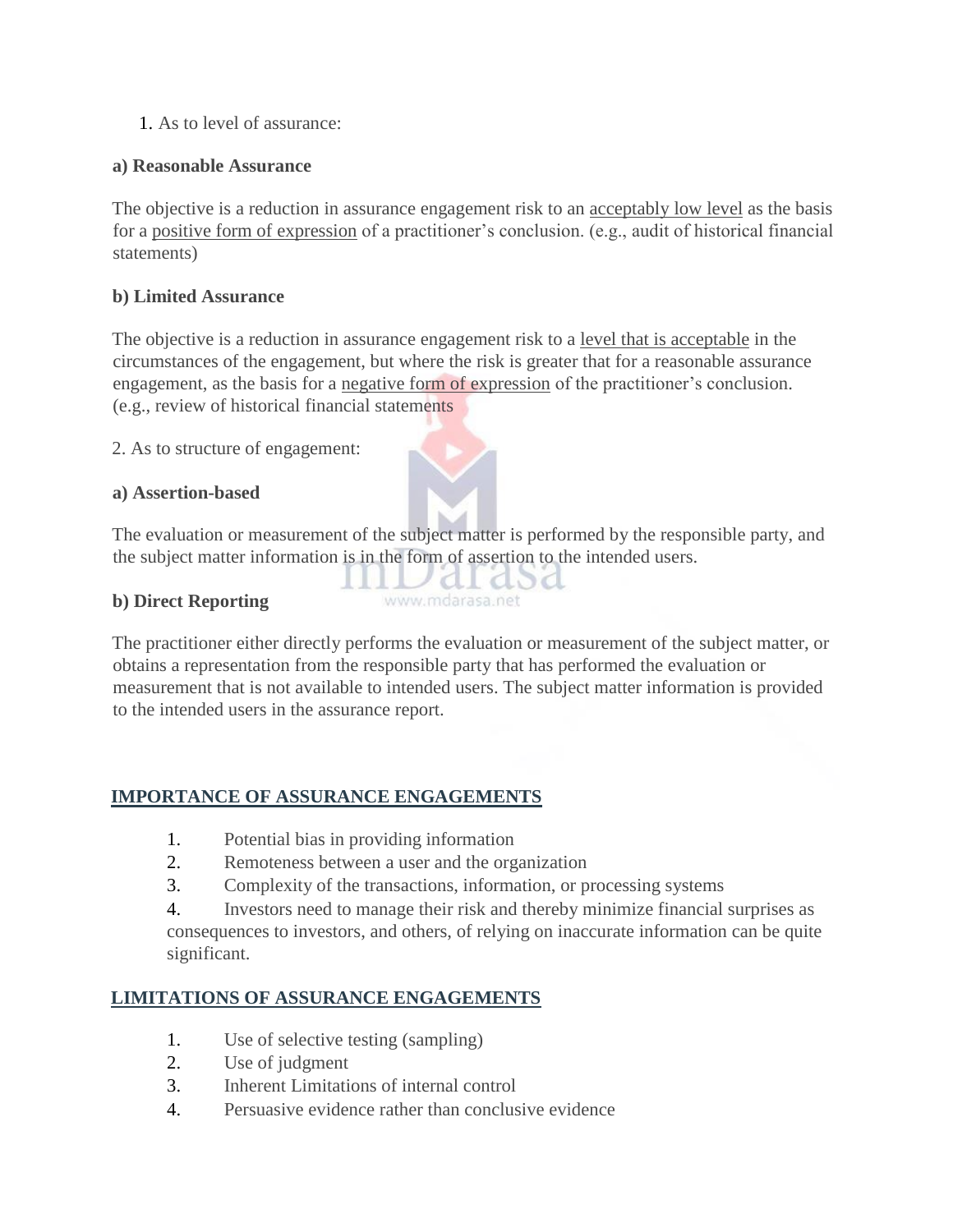1. As to level of assurance:

## **a) Reasonable Assurance**

The objective is a reduction in assurance engagement risk to an acceptably low level as the basis for a positive form of expression of a practitioner's conclusion. (e.g., audit of historical financial statements)

## **b) Limited Assurance**

The objective is a reduction in assurance engagement risk to a level that is acceptable in the circumstances of the engagement, but where the risk is greater that for a reasonable assurance engagement, as the basis for a negative form of expression of the practitioner's conclusion. (e.g., review of historical financial statements

2. As to structure of engagement:

## **a) Assertion-based**

The evaluation or measurement of the subject matter is performed by the responsible party, and the subject matter information is in the form of assertion to the intended users.

t asa

 $\overline{\mathcal{A}}$ 

www.mdarasa.net

## **b) Direct Reporting**

The practitioner either directly performs the evaluation or measurement of the subject matter, or obtains a representation from the responsible party that has performed the evaluation or measurement that is not available to intended users. The subject matter information is provided to the intended users in the assurance report.

## **IMPORTANCE OF ASSURANCE ENGAGEMENTS**

- 1. Potential bias in providing information
- 2. Remoteness between a user and the organization
- 3. Complexity of the transactions, information, or processing systems

4. Investors need to manage their risk and thereby minimize financial surprises as consequences to investors, and others, of relying on inaccurate information can be quite significant.

## **LIMITATIONS OF ASSURANCE ENGAGEMENTS**

- 1. Use of selective testing (sampling)
- 2. Use of judgment
- 3. Inherent Limitations of internal control
- 4. Persuasive evidence rather than conclusive evidence

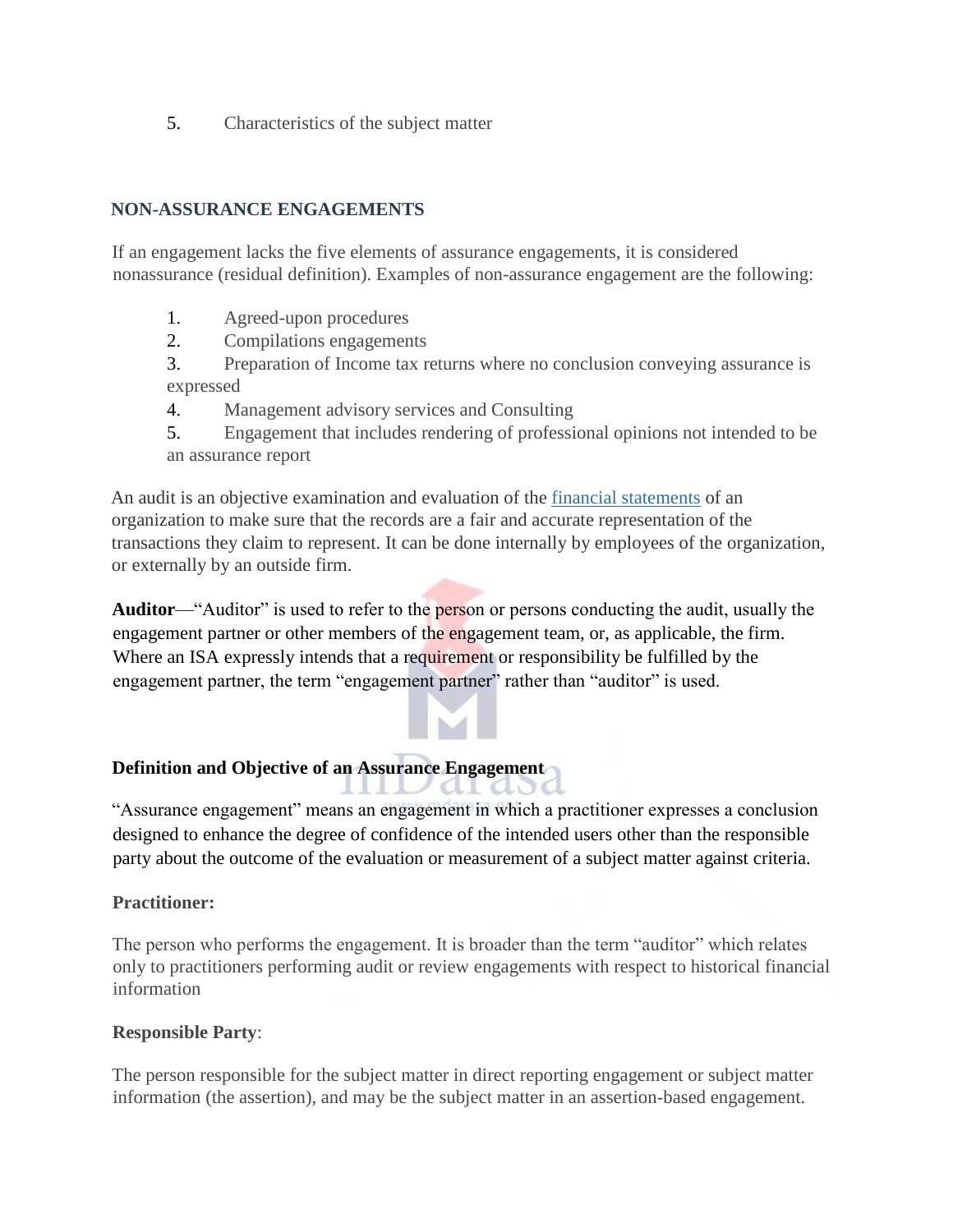5. Characteristics of the subject matter

## **NON-ASSURANCE ENGAGEMENTS**

If an engagement lacks the five elements of assurance engagements, it is considered nonassurance (residual definition). Examples of non-assurance engagement are the following:

- 1. Agreed-upon procedures
- 2. Compilations engagements
- 3. Preparation of Income tax returns where no conclusion conveying assurance is expressed
- 4. Management advisory services and Consulting
- 5. Engagement that includes rendering of professional opinions not intended to be an assurance report

An audit is an objective examination and evaluation of th[e](http://www.investopedia.com/university/financialstatements/) [financial statements](http://www.investopedia.com/university/financialstatements/) of an organization to make sure that the records are a fair and accurate representation of the transactions they claim to represent. It can be done internally by employees of the organization, or externally by an outside firm.

**Auditor**—"Auditor" is used to refer to the person or persons conducting the audit, usually the engagement partner or other members of the engagement team, or, as applicable, the firm. Where an ISA expressly intends that a requirement or responsibility be fulfilled by the engagement partner, the term "engagement partner" rather than "auditor" is used.

#### **Definition and Objective of an Assurance Engagement**  mille al dod

"Assurance engagement" means an engagement in which a practitioner expresses a conclusion designed to enhance the degree of confidence of the intended users other than the responsible party about the outcome of the evaluation or measurement of a subject matter against criteria.

## **Practitioner:**

The person who performs the engagement. It is broader than the term "auditor" which relates only to practitioners performing audit or review engagements with respect to historical financial information

## **Responsible Party**:

The person responsible for the subject matter in direct reporting engagement or subject matter information (the assertion), and may be the subject matter in an assertion-based engagement.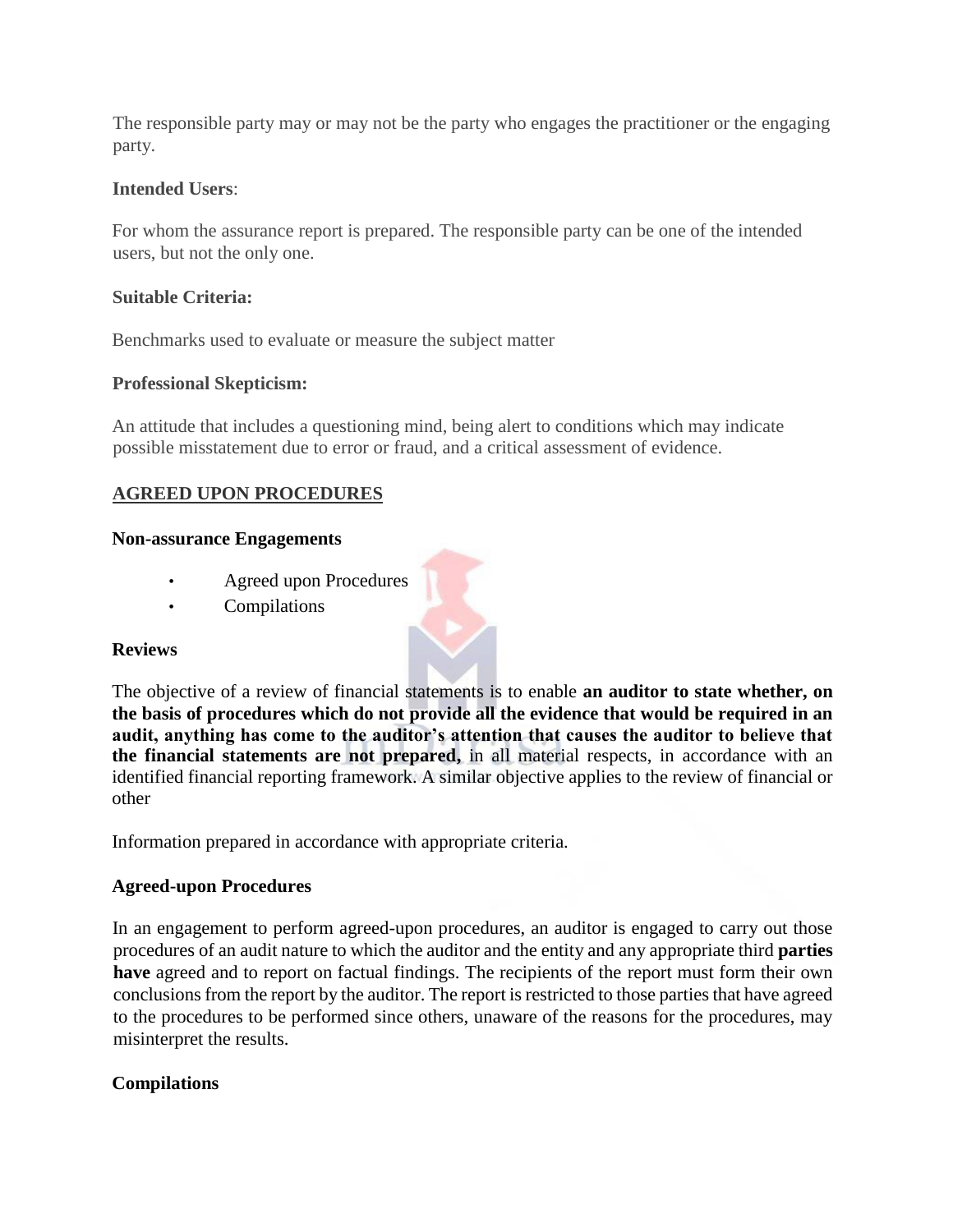The responsible party may or may not be the party who engages the practitioner or the engaging party.

## **Intended Users**:

For whom the assurance report is prepared. The responsible party can be one of the intended users, but not the only one.

## **Suitable Criteria:**

Benchmarks used to evaluate or measure the subject matter

## **Professional Skepticism:**

An attitude that includes a questioning mind, being alert to conditions which may indicate possible misstatement due to error or fraud, and a critical assessment of evidence.

## **AGREED UPON PROCEDURES**

### **Non-assurance Engagements**

- Agreed upon Procedures
- Compilations

#### **Reviews**

The objective of a review of financial statements is to enable **an auditor to state whether, on the basis of procedures which do not provide all the evidence that would be required in an audit, anything has come to the auditor's attention that causes the auditor to believe that the financial statements are not prepared,** in all material respects, in accordance with an identified financial reporting framework. A similar objective applies to the review of financial or other

Information prepared in accordance with appropriate criteria.

## **Agreed-upon Procedures**

In an engagement to perform agreed-upon procedures, an auditor is engaged to carry out those procedures of an audit nature to which the auditor and the entity and any appropriate third **parties have** agreed and to report on factual findings. The recipients of the report must form their own conclusions from the report by the auditor. The report is restricted to those parties that have agreed to the procedures to be performed since others, unaware of the reasons for the procedures, may misinterpret the results.

## **Compilations**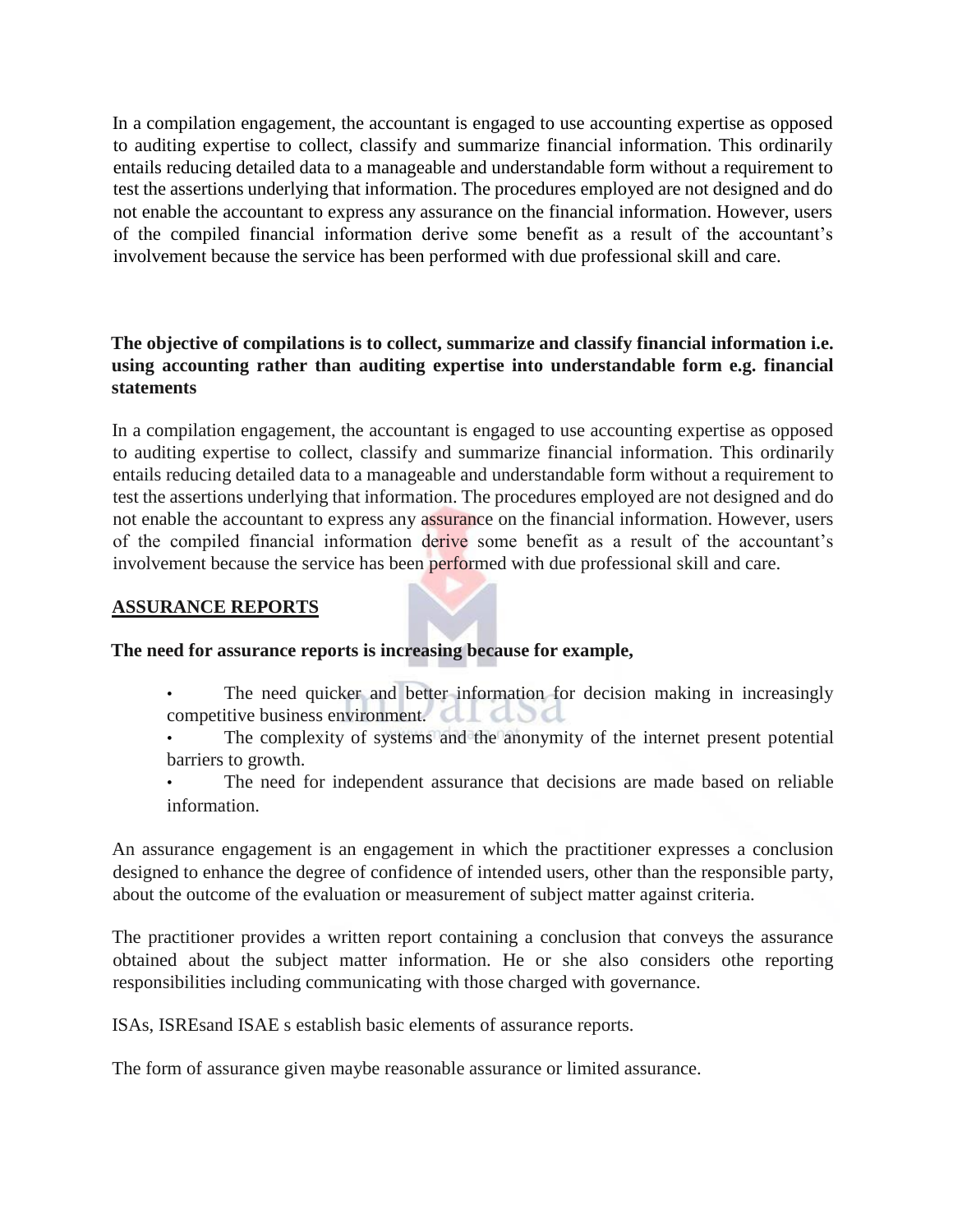In a compilation engagement, the accountant is engaged to use accounting expertise as opposed to auditing expertise to collect, classify and summarize financial information. This ordinarily entails reducing detailed data to a manageable and understandable form without a requirement to test the assertions underlying that information. The procedures employed are not designed and do not enable the accountant to express any assurance on the financial information. However, users of the compiled financial information derive some benefit as a result of the accountant's involvement because the service has been performed with due professional skill and care.

## **The objective of compilations is to collect, summarize and classify financial information i.e. using accounting rather than auditing expertise into understandable form e.g. financial statements**

In a compilation engagement, the accountant is engaged to use accounting expertise as opposed to auditing expertise to collect, classify and summarize financial information. This ordinarily entails reducing detailed data to a manageable and understandable form without a requirement to test the assertions underlying that information. The procedures employed are not designed and do not enable the accountant to express any assurance on the financial information. However, users of the compiled financial information derive some benefit as a result of the accountant's involvement because the service has been performed with due professional skill and care.

## **ASSURANCE REPORTS**

## **The need for assurance reports is increasing because for example,**

- The need quicker and better information for decision making in increasingly competitive business environment. CLLCL
- The complexity of systems and the anonymity of the internet present potential barriers to growth.
- The need for independent assurance that decisions are made based on reliable information.

An assurance engagement is an engagement in which the practitioner expresses a conclusion designed to enhance the degree of confidence of intended users, other than the responsible party, about the outcome of the evaluation or measurement of subject matter against criteria.

The practitioner provides a written report containing a conclusion that conveys the assurance obtained about the subject matter information. He or she also considers othe reporting responsibilities including communicating with those charged with governance.

ISAs, ISREsand ISAE s establish basic elements of assurance reports.

The form of assurance given maybe reasonable assurance or limited assurance.